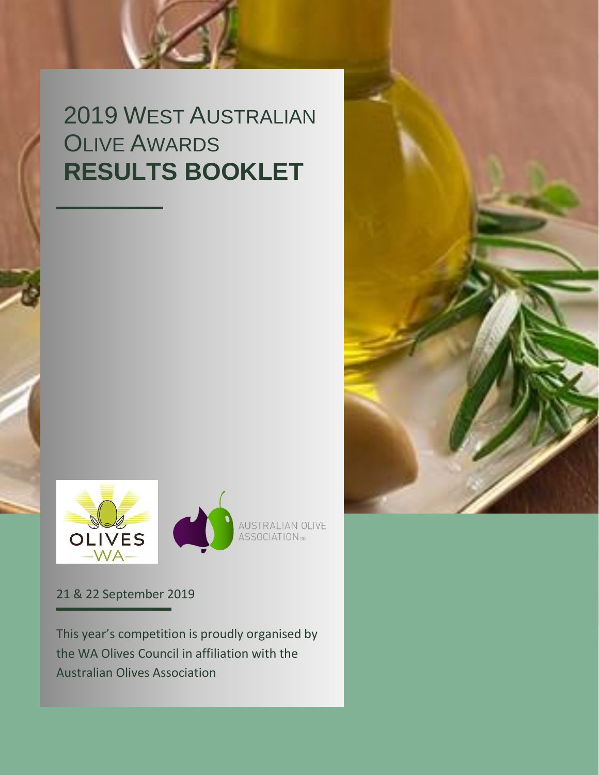## 2019 WEST AUSTRALIAN **OLIVE AWARDS RESULTS BOOKLET**



21 & 22 September 2019

This year's competition is proudly organised by the WA Olives Council in affiliation with the Australian Olives Association

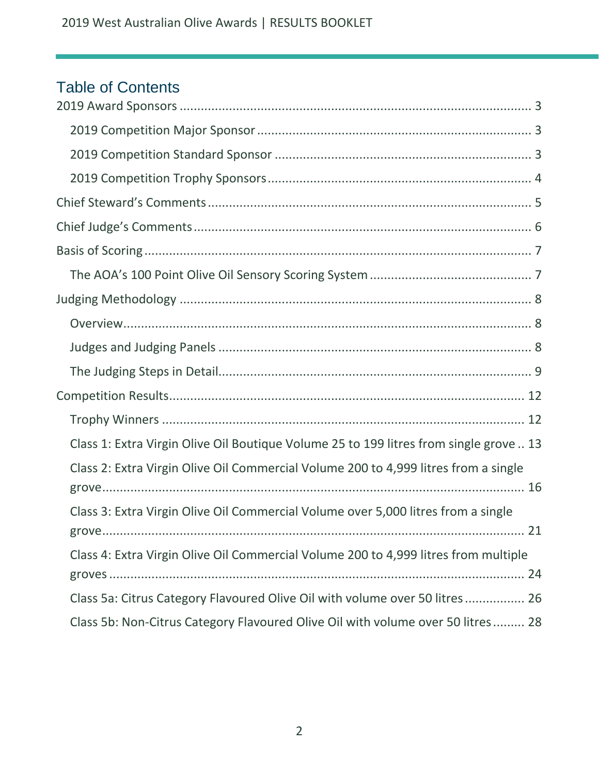## Table of Contents

| Class 1: Extra Virgin Olive Oil Boutique Volume 25 to 199 litres from single grove  13 |
|----------------------------------------------------------------------------------------|
| Class 2: Extra Virgin Olive Oil Commercial Volume 200 to 4,999 litres from a single    |
| Class 3: Extra Virgin Olive Oil Commercial Volume over 5,000 litres from a single      |
| Class 4: Extra Virgin Olive Oil Commercial Volume 200 to 4,999 litres from multiple    |
| Class 5a: Citrus Category Flavoured Olive Oil with volume over 50 litres 26            |
| Class 5b: Non-Citrus Category Flavoured Olive Oil with volume over 50 litres 28        |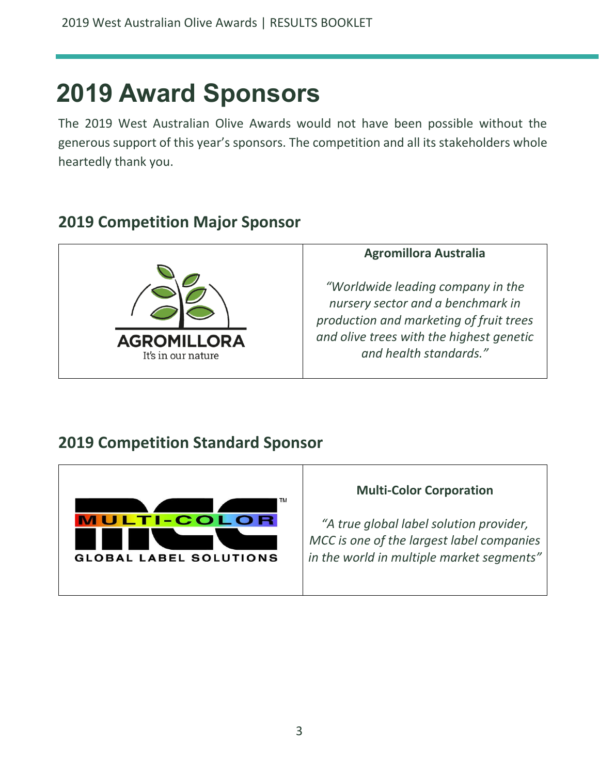## <span id="page-2-0"></span>**2019 Award Sponsors**

The 2019 West Australian Olive Awards would not have been possible without the generous support of this year's sponsors. The competition and all its stakeholders whole heartedly thank you.

## <span id="page-2-1"></span>**2019 Competition Major Sponsor**



#### **Agromillora Australia**

*"Worldwide leading company in the nursery sector and a benchmark in production and marketing of fruit trees and olive trees with the highest genetic and health standards."*

## <span id="page-2-2"></span>**2019 Competition Standard Sponsor**



#### **Multi-Color Corporation**

*"A true global label solution provider, MCC is one of the largest label companies in the world in multiple market segments"*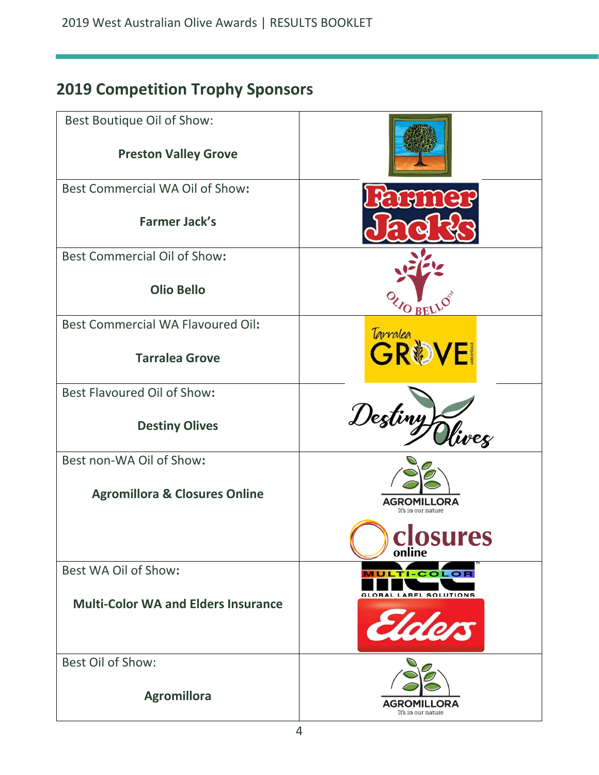## <span id="page-3-0"></span>**2019 Competition Trophy Sponsors**

| Best Boutique Oil of Show:                 |                                          |
|--------------------------------------------|------------------------------------------|
| <b>Preston Valley Grove</b>                |                                          |
| Best Commercial WA Oil of Show:            |                                          |
| <b>Farmer Jack's</b>                       |                                          |
| <b>Best Commercial Oil of Show:</b>        |                                          |
| <b>Olio Bello</b>                          | <b>LO BELLC</b>                          |
| <b>Best Commercial WA Flavoured Oil:</b>   |                                          |
| <b>Tarralea Grove</b>                      | Tarrales <b>SOVE</b>                     |
| Best Flavoured Oil of Show:                |                                          |
| <b>Destiny Olives</b>                      | Destiny)<br>Vivez                        |
| Best non-WA Oil of Show:                   |                                          |
| <b>Agromillora &amp; Closures Online</b>   | <b>AGROMILLORA</b><br>It's in our nature |
|                                            | closures<br>online                       |
| Best WA Oil of Show:                       | MULT<br>I-COLOR                          |
| <b>Multi-Color WA and Elders Insurance</b> | <b>GLOBAL LABEL SOLUTIONS</b>            |
| <b>Best Oil of Show:</b>                   |                                          |
| <b>Agromillora</b>                         | ORA<br>AGROMI<br>It's in our nature      |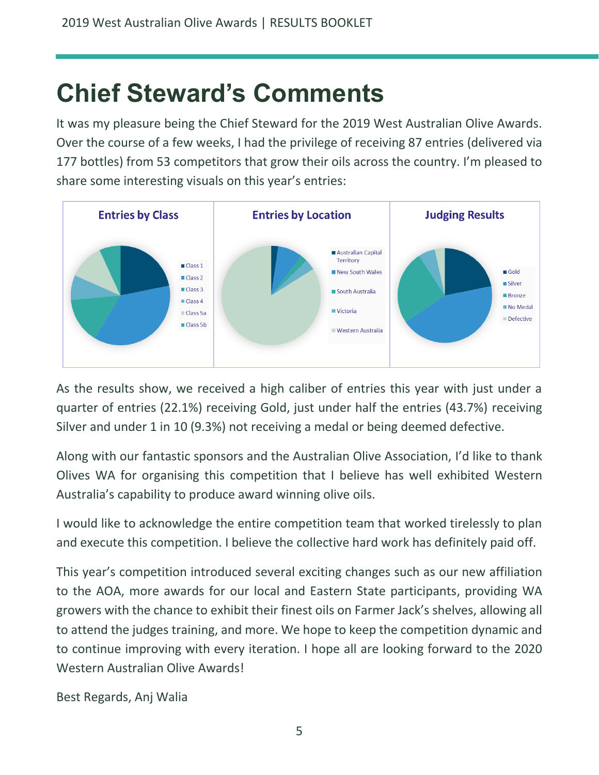## <span id="page-4-0"></span>**Chief Steward's Comments**

It was my pleasure being the Chief Steward for the 2019 West Australian Olive Awards. Over the course of a few weeks, I had the privilege of receiving 87 entries (delivered via 177 bottles) from 53 competitors that grow their oils across the country. I'm pleased to share some interesting visuals on this year's entries:



As the results show, we received a high caliber of entries this year with just under a quarter of entries (22.1%) receiving Gold, just under half the entries (43.7%) receiving Silver and under 1 in 10 (9.3%) not receiving a medal or being deemed defective.

Along with our fantastic sponsors and the Australian Olive Association, I'd like to thank Olives WA for organising this competition that I believe has well exhibited Western Australia's capability to produce award winning olive oils.

I would like to acknowledge the entire competition team that worked tirelessly to plan and execute this competition. I believe the collective hard work has definitely paid off.

This year's competition introduced several exciting changes such as our new affiliation to the AOA, more awards for our local and Eastern State participants, providing WA growers with the chance to exhibit their finest oils on Farmer Jack's shelves, allowing all to attend the judges training, and more. We hope to keep the competition dynamic and to continue improving with every iteration. I hope all are looking forward to the 2020 Western Australian Olive Awards!

Best Regards, Anj Walia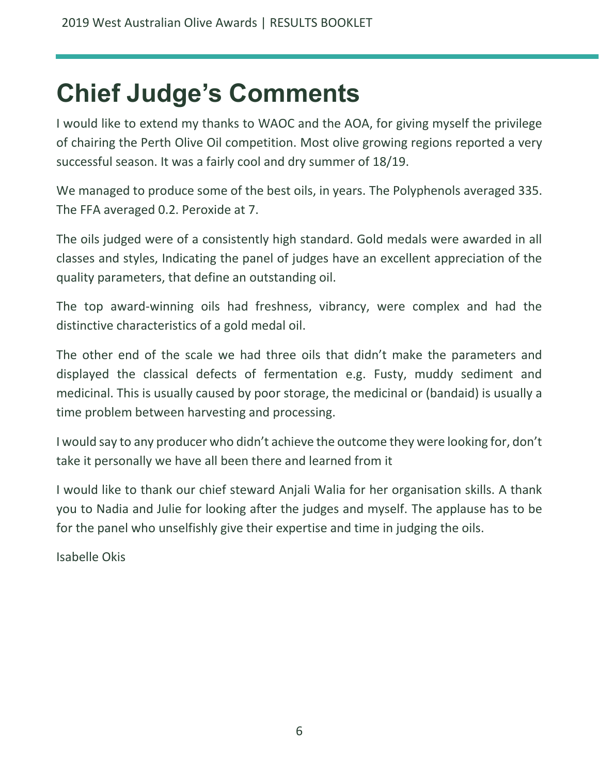## <span id="page-5-0"></span>**Chief Judge's Comments**

I would like to extend my thanks to WAOC and the AOA, for giving myself the privilege of chairing the Perth Olive Oil competition. Most olive growing regions reported a very successful season. It was a fairly cool and dry summer of 18/19.

We managed to produce some of the best oils, in years. The Polyphenols averaged 335. The FFA averaged 0.2. Peroxide at 7.

The oils judged were of a consistently high standard. Gold medals were awarded in all classes and styles, Indicating the panel of judges have an excellent appreciation of the quality parameters, that define an outstanding oil.

The top award-winning oils had freshness, vibrancy, were complex and had the distinctive characteristics of a gold medal oil.

The other end of the scale we had three oils that didn't make the parameters and displayed the classical defects of fermentation e.g. Fusty, muddy sediment and medicinal. This is usually caused by poor storage, the medicinal or (bandaid) is usually a time problem between harvesting and processing.

I would say to any producer who didn't achieve the outcome they were looking for, don't take it personally we have all been there and learned from it

I would like to thank our chief steward Anjali Walia for her organisation skills. A thank you to Nadia and Julie for looking after the judges and myself. The applause has to be for the panel who unselfishly give their expertise and time in judging the oils.

Isabelle Okis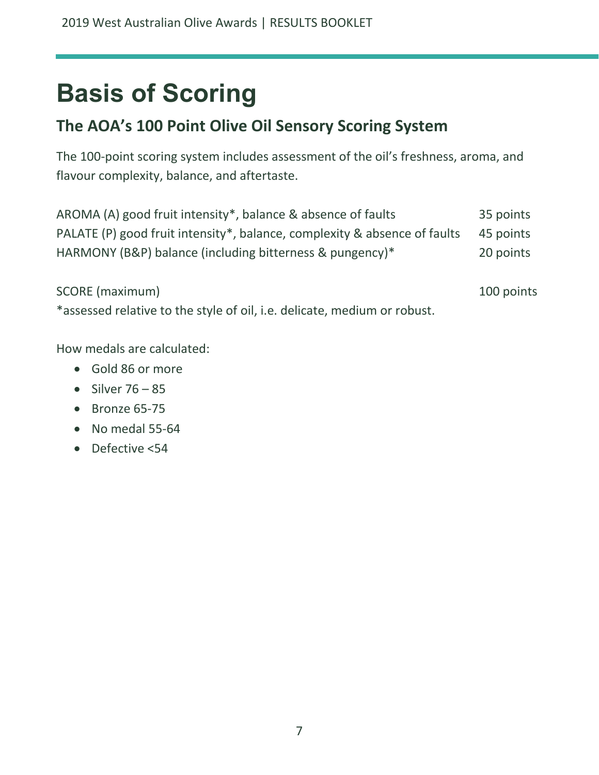# <span id="page-6-0"></span>**Basis of Scoring**

## <span id="page-6-1"></span>**The AOA's 100 Point Olive Oil Sensory Scoring System**

The 100-point scoring system includes assessment of the oil's freshness, aroma, and flavour complexity, balance, and aftertaste.

| AROMA (A) good fruit intensity*, balance & absence of faults                        | 35 points |
|-------------------------------------------------------------------------------------|-----------|
| PALATE (P) good fruit intensity*, balance, complexity & absence of faults 45 points |           |
| HARMONY (B&P) balance (including bitterness & pungency)*                            | 20 points |

SCORE (maximum) 100 points

\*assessed relative to the style of oil, i.e. delicate, medium or robust.

How medals are calculated:

- Gold 86 or more
- Silver  $76 85$
- Bronze 65-75
- No medal 55-64
- Defective <54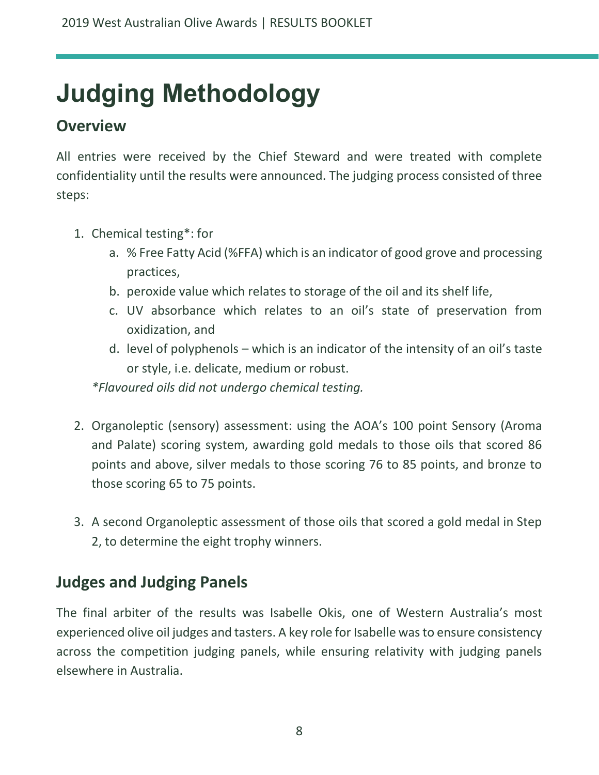# <span id="page-7-0"></span>**Judging Methodology**

## <span id="page-7-1"></span>**Overview**

All entries were received by the Chief Steward and were treated with complete confidentiality until the results were announced. The judging process consisted of three steps:

- 1. Chemical testing\*: for
	- a. % Free Fatty Acid (%FFA) which is an indicator of good grove and processing practices,
	- b. peroxide value which relates to storage of the oil and its shelf life,
	- c. UV absorbance which relates to an oil's state of preservation from oxidization, and
	- d. level of polyphenols which is an indicator of the intensity of an oil's taste or style, i.e. delicate, medium or robust.

*\*Flavoured oils did not undergo chemical testing.*

- 2. Organoleptic (sensory) assessment: using the AOA's 100 point Sensory (Aroma and Palate) scoring system, awarding gold medals to those oils that scored 86 points and above, silver medals to those scoring 76 to 85 points, and bronze to those scoring 65 to 75 points.
- 3. A second Organoleptic assessment of those oils that scored a gold medal in Step 2, to determine the eight trophy winners.

## <span id="page-7-2"></span>**Judges and Judging Panels**

The final arbiter of the results was Isabelle Okis, one of Western Australia's most experienced olive oil judges and tasters. A key role for Isabelle was to ensure consistency across the competition judging panels, while ensuring relativity with judging panels elsewhere in Australia.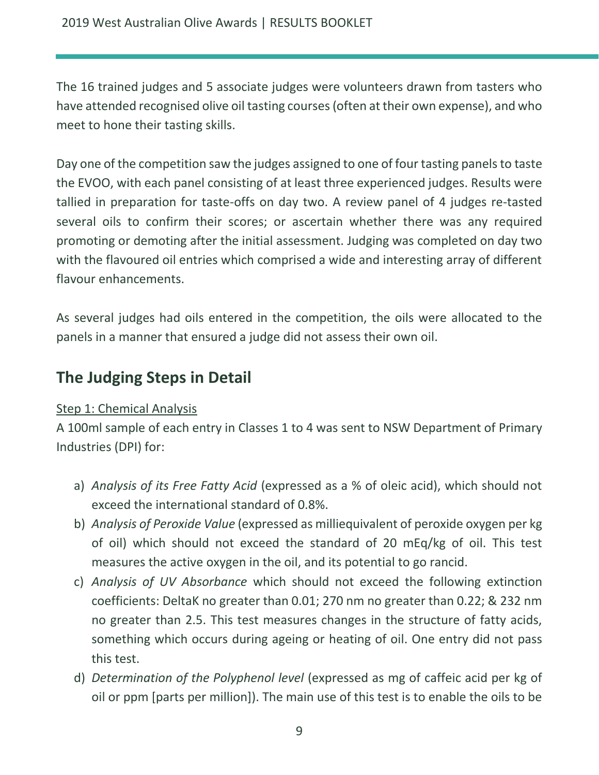The 16 trained judges and 5 associate judges were volunteers drawn from tasters who have attended recognised olive oil tasting courses (often at their own expense), and who meet to hone their tasting skills.

Day one of the competition saw the judges assigned to one of four tasting panels to taste the EVOO, with each panel consisting of at least three experienced judges. Results were tallied in preparation for taste-offs on day two. A review panel of 4 judges re-tasted several oils to confirm their scores; or ascertain whether there was any required promoting or demoting after the initial assessment. Judging was completed on day two with the flavoured oil entries which comprised a wide and interesting array of different flavour enhancements.

As several judges had oils entered in the competition, the oils were allocated to the panels in a manner that ensured a judge did not assess their own oil.

### <span id="page-8-0"></span>**The Judging Steps in Detail**

#### Step 1: Chemical Analysis

A 100ml sample of each entry in Classes 1 to 4 was sent to NSW Department of Primary Industries (DPI) for:

- a) *Analysis of its Free Fatty Acid* (expressed as a % of oleic acid), which should not exceed the international standard of 0.8%.
- b) *Analysis of Peroxide Value* (expressed as milliequivalent of peroxide oxygen per kg of oil) which should not exceed the standard of 20 mEq/kg of oil. This test measures the active oxygen in the oil, and its potential to go rancid.
- c) *Analysis of UV Absorbance* which should not exceed the following extinction coefficients: DeltaK no greater than 0.01; 270 nm no greater than 0.22; & 232 nm no greater than 2.5. This test measures changes in the structure of fatty acids, something which occurs during ageing or heating of oil. One entry did not pass this test.
- d) *Determination of the Polyphenol level* (expressed as mg of caffeic acid per kg of oil or ppm [parts per million]). The main use of this test is to enable the oils to be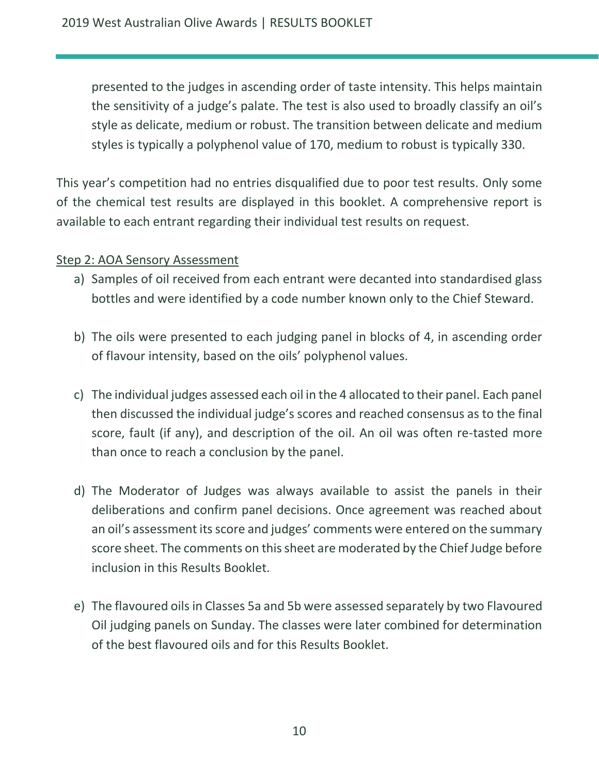presented to the judges in ascending order of taste intensity. This helps maintain the sensitivity of a judge's palate. The test is also used to broadly classify an oil's style as delicate, medium or robust. The transition between delicate and medium styles is typically a polyphenol value of 170, medium to robust is typically 330.

This year's competition had no entries disqualified due to poor test results. Only some of the chemical test results are displayed in this booklet. A comprehensive report is available to each entrant regarding their individual test results on request.

#### Step 2: AOA Sensory Assessment

- a) Samples of oil received from each entrant were decanted into standardised glass bottles and were identified by a code number known only to the Chief Steward.
- b) The oils were presented to each judging panel in blocks of 4, in ascending order of flavour intensity, based on the oils' polyphenol values.
- c) The individual judges assessed each oil in the 4 allocated to their panel. Each panel then discussed the individual judge's scores and reached consensus as to the final score, fault (if any), and description of the oil. An oil was often re-tasted more than once to reach a conclusion by the panel.
- d) The Moderator of Judges was always available to assist the panels in their deliberations and confirm panel decisions. Once agreement was reached about an oil's assessment its score and judges' comments were entered on the summary score sheet. The comments on this sheet are moderated by the Chief Judge before inclusion in this Results Booklet.
- e) The flavoured oils in Classes 5a and 5b were assessed separately by two Flavoured Oil judging panels on Sunday. The classes were later combined for determination of the best flavoured oils and for this Results Booklet.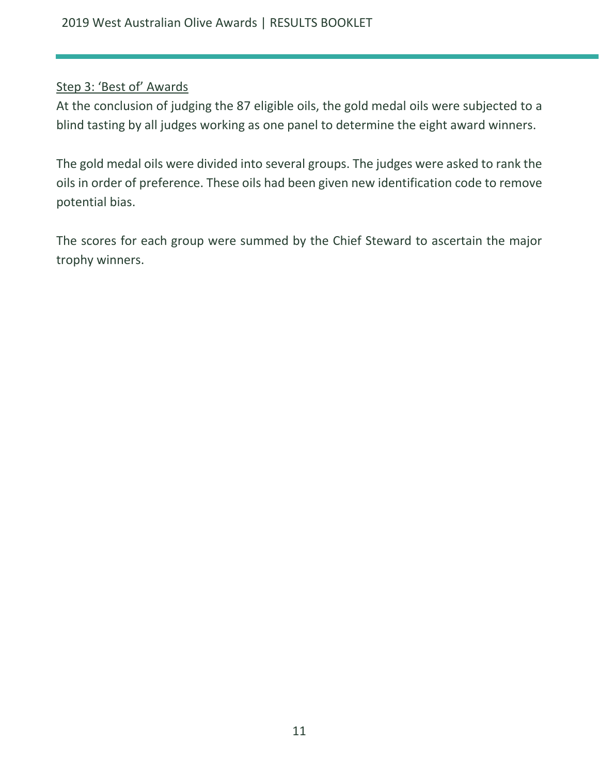#### Step 3: 'Best of' Awards

At the conclusion of judging the 87 eligible oils, the gold medal oils were subjected to a blind tasting by all judges working as one panel to determine the eight award winners.

The gold medal oils were divided into several groups. The judges were asked to rank the oils in order of preference. These oils had been given new identification code to remove potential bias.

The scores for each group were summed by the Chief Steward to ascertain the major trophy winners.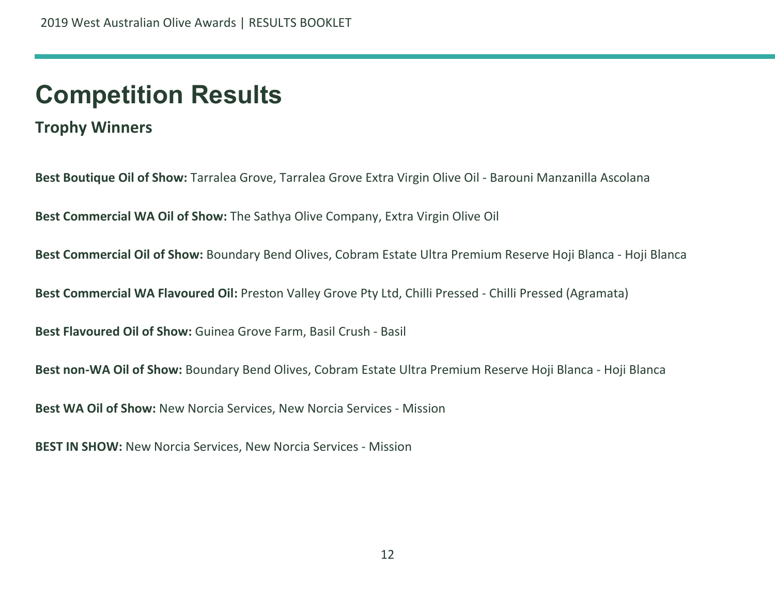## **Competition Results**

**Trophy Winners**

**Best Boutique Oil of Show:** Tarralea Grove, Tarralea Grove Extra Virgin Olive Oil - Barouni Manzanilla Ascolana

**Best Commercial WA Oil of Show:** The Sathya Olive Company, Extra Virgin Olive Oil

<span id="page-11-0"></span>**Best Commercial Oil of Show:** Boundary Bend Olives, Cobram Estate Ultra Premium Reserve Hoji Blanca - Hoji Blanca

<span id="page-11-1"></span>**Best Commercial WA Flavoured Oil:** Preston Valley Grove Pty Ltd, Chilli Pressed - Chilli Pressed (Agramata)

**Best Flavoured Oil of Show:** Guinea Grove Farm, Basil Crush - Basil

**Best non-WA Oil of Show:** Boundary Bend Olives, Cobram Estate Ultra Premium Reserve Hoji Blanca - Hoji Blanca

**Best WA Oil of Show:** New Norcia Services, New Norcia Services - Mission

**BEST IN SHOW:** New Norcia Services, New Norcia Services - Mission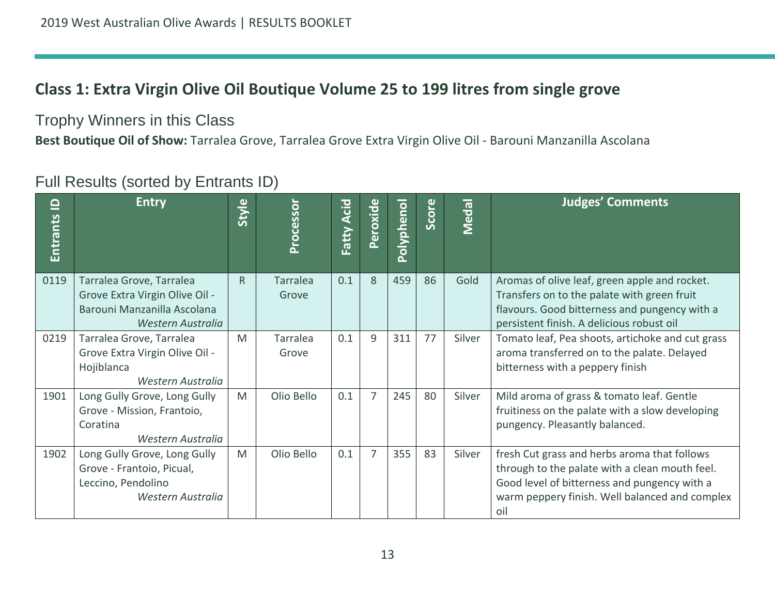## **Class 1: Extra Virgin Olive Oil Boutique Volume 25 to 199 litres from single grove**

Trophy Winners in this Class

**Best Boutique Oil of Show:** Tarralea Grove, Tarralea Grove Extra Virgin Olive Oil - Barouni Manzanilla Ascolana

<span id="page-12-0"></span>

| $\mathbf{\underline{o}}$<br>Entrants | <b>Entry</b>                                                                                                   | Style        | Processor         | Acid<br>Fatty | Peroxide | Polyphenol | Score | Medal  | <b>Judges' Comments</b>                                                                                                                                                                                 |
|--------------------------------------|----------------------------------------------------------------------------------------------------------------|--------------|-------------------|---------------|----------|------------|-------|--------|---------------------------------------------------------------------------------------------------------------------------------------------------------------------------------------------------------|
| 0119                                 | Tarralea Grove, Tarralea<br>Grove Extra Virgin Olive Oil -<br>Barouni Manzanilla Ascolana<br>Western Australia | $\mathsf{R}$ | Tarralea<br>Grove | 0.1           | 8        | 459        | 86    | Gold   | Aromas of olive leaf, green apple and rocket.<br>Transfers on to the palate with green fruit<br>flavours. Good bitterness and pungency with a<br>persistent finish. A delicious robust oil              |
| 0219                                 | Tarralea Grove, Tarralea<br>Grove Extra Virgin Olive Oil -<br>Hojiblanca<br>Western Australia                  | M            | Tarralea<br>Grove | 0.1           | 9        | 311        | 77    | Silver | Tomato leaf, Pea shoots, artichoke and cut grass<br>aroma transferred on to the palate. Delayed<br>bitterness with a peppery finish                                                                     |
| 1901                                 | Long Gully Grove, Long Gully<br>Grove - Mission, Frantoio,<br>Coratina<br>Western Australia                    | M            | Olio Bello        | 0.1           | 7        | 245        | 80    | Silver | Mild aroma of grass & tomato leaf. Gentle<br>fruitiness on the palate with a slow developing<br>pungency. Pleasantly balanced.                                                                          |
| 1902                                 | Long Gully Grove, Long Gully<br>Grove - Frantoio, Picual,<br>Leccino, Pendolino<br>Western Australia           | M            | Olio Bello        | 0.1           | 7        | 355        | 83    | Silver | fresh Cut grass and herbs aroma that follows<br>through to the palate with a clean mouth feel.<br>Good level of bitterness and pungency with a<br>warm peppery finish. Well balanced and complex<br>oil |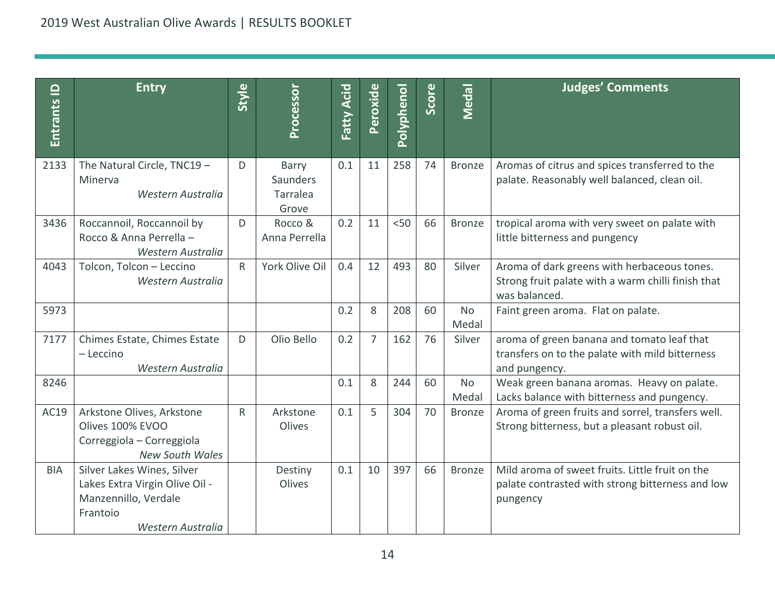| Entrants <b>ID</b> | <b>Entry</b>                                                                                                          | Style        | Processor                              | Fatty Acid | Peroxide       | Polyphenol | Score | Medal              | <b>Judges' Comments</b>                                                                                            |
|--------------------|-----------------------------------------------------------------------------------------------------------------------|--------------|----------------------------------------|------------|----------------|------------|-------|--------------------|--------------------------------------------------------------------------------------------------------------------|
| 2133               | The Natural Circle, TNC19 -<br>Minerva<br>Western Australia                                                           | D            | Barry<br>Saunders<br>Tarralea<br>Grove | 0.1        | 11             | 258        | 74    | <b>Bronze</b>      | Aromas of citrus and spices transferred to the<br>palate. Reasonably well balanced, clean oil.                     |
| 3436               | Roccannoil, Roccannoil by<br>Rocco & Anna Perrella -<br>Western Australia                                             | D            | Rocco &<br>Anna Perrella               | 0.2        | 11             | < 50       | 66    | <b>Bronze</b>      | tropical aroma with very sweet on palate with<br>little bitterness and pungency                                    |
| 4043               | Tolcon, Tolcon - Leccino<br>Western Australia                                                                         | $\mathsf{R}$ | York Olive Oil                         | 0.4        | 12             | 493        | 80    | Silver             | Aroma of dark greens with herbaceous tones.<br>Strong fruit palate with a warm chilli finish that<br>was balanced. |
| 5973               |                                                                                                                       |              |                                        | 0.2        | 8              | 208        | 60    | <b>No</b><br>Medal | Faint green aroma. Flat on palate.                                                                                 |
| 7177               | Chimes Estate, Chimes Estate<br>- Leccino<br>Western Australia                                                        | D            | Olio Bello                             | 0.2        | $\overline{7}$ | 162        | 76    | Silver             | aroma of green banana and tomato leaf that<br>transfers on to the palate with mild bitterness<br>and pungency.     |
| 8246               |                                                                                                                       |              |                                        | 0.1        | 8              | 244        | 60    | <b>No</b><br>Medal | Weak green banana aromas. Heavy on palate.<br>Lacks balance with bitterness and pungency.                          |
| AC19               | Arkstone Olives, Arkstone<br>Olives 100% EVOO<br>Correggiola - Correggiola<br><b>New South Wales</b>                  | $\mathsf{R}$ | Arkstone<br>Olives                     | 0.1        | 5              | 304        | 70    | <b>Bronze</b>      | Aroma of green fruits and sorrel, transfers well.<br>Strong bitterness, but a pleasant robust oil.                 |
| <b>BIA</b>         | Silver Lakes Wines, Silver<br>Lakes Extra Virgin Olive Oil -<br>Manzennillo, Verdale<br>Frantoio<br>Western Australia |              | Destiny<br>Olives                      | 0.1        | 10             | 397        | 66    | <b>Bronze</b>      | Mild aroma of sweet fruits. Little fruit on the<br>palate contrasted with strong bitterness and low<br>pungency    |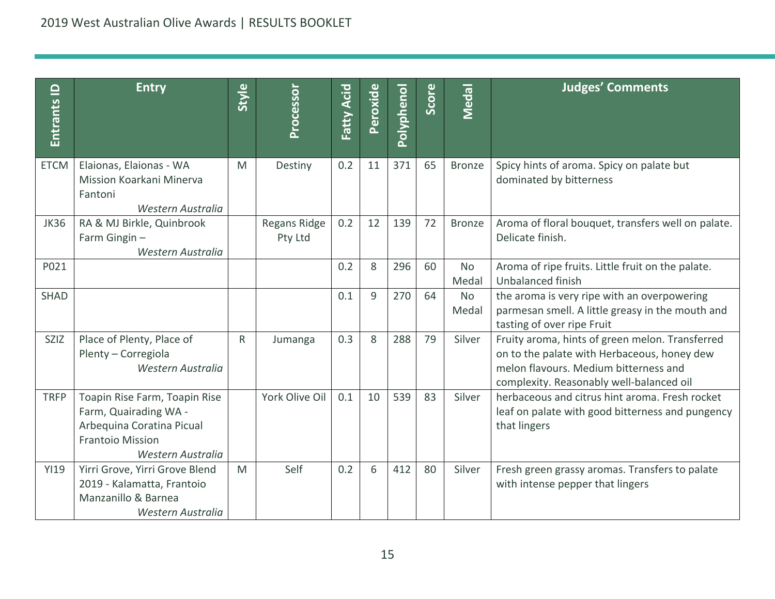| $\mathbf{\underline{o}}$<br>Entrants | <b>Entry</b>                                                                                                                        | Style        | Processor               | Fatty Acid | Peroxide | Polyphenol | Score | <b>Medal</b>       | <b>Judges' Comments</b>                                                                                                                                                             |
|--------------------------------------|-------------------------------------------------------------------------------------------------------------------------------------|--------------|-------------------------|------------|----------|------------|-------|--------------------|-------------------------------------------------------------------------------------------------------------------------------------------------------------------------------------|
| <b>ETCM</b>                          | Elaionas, Elaionas - WA<br>Mission Koarkani Minerva<br>Fantoni<br>Western Australia                                                 | M            | Destiny                 | 0.2        | 11       | 371        | 65    | <b>Bronze</b>      | Spicy hints of aroma. Spicy on palate but<br>dominated by bitterness                                                                                                                |
| <b>JK36</b>                          | RA & MJ Birkle, Quinbrook<br>Farm Gingin-<br>Western Australia                                                                      |              | Regans Ridge<br>Pty Ltd | 0.2        | 12       | 139        | 72    | Bronze             | Aroma of floral bouquet, transfers well on palate.<br>Delicate finish.                                                                                                              |
| P021                                 |                                                                                                                                     |              |                         | 0.2        | 8        | 296        | 60    | <b>No</b><br>Medal | Aroma of ripe fruits. Little fruit on the palate.<br>Unbalanced finish                                                                                                              |
| <b>SHAD</b>                          |                                                                                                                                     |              |                         | 0.1        | 9        | 270        | 64    | <b>No</b><br>Medal | the aroma is very ripe with an overpowering<br>parmesan smell. A little greasy in the mouth and<br>tasting of over ripe Fruit                                                       |
| <b>SZIZ</b>                          | Place of Plenty, Place of<br>Plenty - Corregiola<br>Western Australia                                                               | $\mathsf{R}$ | Jumanga                 | 0.3        | 8        | 288        | 79    | Silver             | Fruity aroma, hints of green melon. Transferred<br>on to the palate with Herbaceous, honey dew<br>melon flavours. Medium bitterness and<br>complexity. Reasonably well-balanced oil |
| <b>TRFP</b>                          | Toapin Rise Farm, Toapin Rise<br>Farm, Quairading WA -<br>Arbequina Coratina Picual<br><b>Frantoio Mission</b><br>Western Australia |              | York Olive Oil          | 0.1        | 10       | 539        | 83    | Silver             | herbaceous and citrus hint aroma. Fresh rocket<br>leaf on palate with good bitterness and pungency<br>that lingers                                                                  |
| <b>YI19</b>                          | Yirri Grove, Yirri Grove Blend<br>2019 - Kalamatta, Frantoio<br>Manzanillo & Barnea<br>Western Australia                            | M            | Self                    | 0.2        | 6        | 412        | 80    | Silver             | Fresh green grassy aromas. Transfers to palate<br>with intense pepper that lingers                                                                                                  |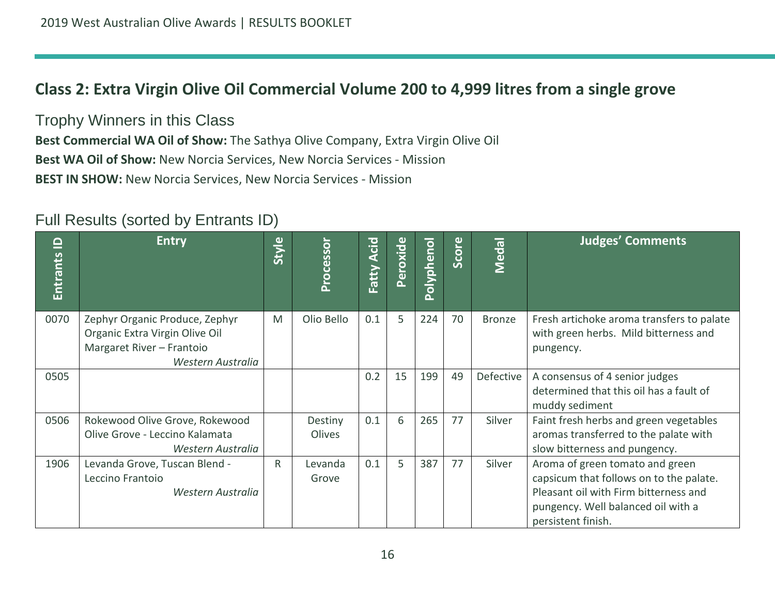## **Class 2: Extra Virgin Olive Oil Commercial Volume 200 to 4,999 litres from a single grove**

Trophy Winners in this Class

**Best Commercial WA Oil of Show:** The Sathya Olive Company, Extra Virgin Olive Oil **Best WA Oil of Show:** New Norcia Services, New Norcia Services - Mission **BEST IN SHOW:** New Norcia Services, New Norcia Services - Mission

<span id="page-15-0"></span>

| $\mathbf{\underline{o}}$<br><b>Entrants</b> | <b>Entry</b>                                                                                                       | <b>Style</b> | Processor         | Acid<br>Fatty | Peroxide | <b>Polyphenol</b> | Score | <b>Medal</b>  | <b>Judges' Comments</b>                                                                                                                                                         |
|---------------------------------------------|--------------------------------------------------------------------------------------------------------------------|--------------|-------------------|---------------|----------|-------------------|-------|---------------|---------------------------------------------------------------------------------------------------------------------------------------------------------------------------------|
| 0070                                        | Zephyr Organic Produce, Zephyr<br>Organic Extra Virgin Olive Oil<br>Margaret River - Frantoio<br>Western Australia | M            | Olio Bello        | 0.1           | 5        | 224               | 70    | <b>Bronze</b> | Fresh artichoke aroma transfers to palate<br>with green herbs. Mild bitterness and<br>pungency.                                                                                 |
| 0505                                        |                                                                                                                    |              |                   | 0.2           | 15       | 199               | 49    | Defective     | A consensus of 4 senior judges<br>determined that this oil has a fault of<br>muddy sediment                                                                                     |
| 0506                                        | Rokewood Olive Grove, Rokewood<br>Olive Grove - Leccino Kalamata<br>Western Australia                              |              | Destiny<br>Olives | 0.1           | 6        | 265               | 77    | Silver        | Faint fresh herbs and green vegetables<br>aromas transferred to the palate with<br>slow bitterness and pungency.                                                                |
| 1906                                        | Levanda Grove, Tuscan Blend -<br>Leccino Frantoio<br>Western Australia                                             | R            | Levanda<br>Grove  | 0.1           | 5        | 387               | 77    | Silver        | Aroma of green tomato and green<br>capsicum that follows on to the palate.<br>Pleasant oil with Firm bitterness and<br>pungency. Well balanced oil with a<br>persistent finish. |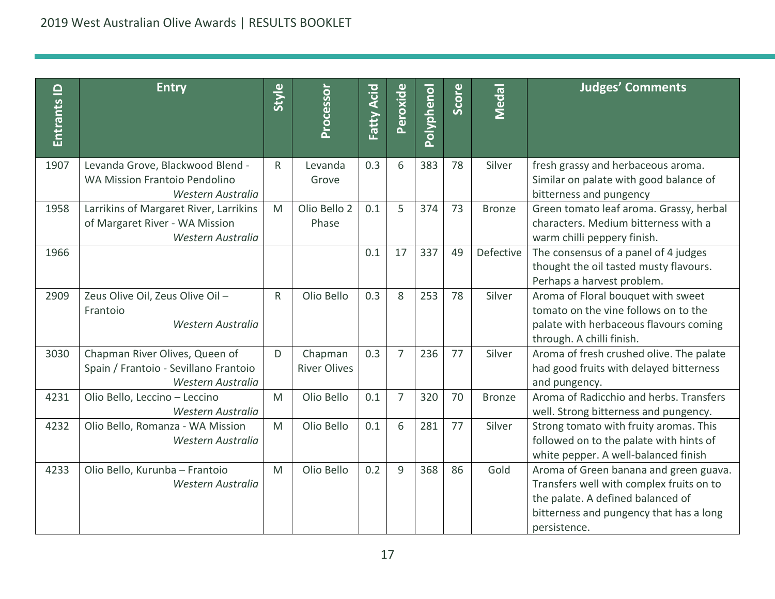| $\mathbf{\underline{o}}$<br><b>Entrants</b> | <b>Entry</b>                                                                                  | Style        | Processor                      | <b>Fatty Acid</b> | Peroxide       | Polyphenol | Score | Medal         | <b>Judges' Comments</b>                                                                                                                                                            |
|---------------------------------------------|-----------------------------------------------------------------------------------------------|--------------|--------------------------------|-------------------|----------------|------------|-------|---------------|------------------------------------------------------------------------------------------------------------------------------------------------------------------------------------|
| 1907                                        | Levanda Grove, Blackwood Blend -<br><b>WA Mission Frantoio Pendolino</b>                      | $\mathsf{R}$ | Levanda<br>Grove               | 0.3               | 6              | 383        | 78    | Silver        | fresh grassy and herbaceous aroma.<br>Similar on palate with good balance of                                                                                                       |
|                                             | Western Australia                                                                             |              |                                |                   |                |            |       |               | bitterness and pungency                                                                                                                                                            |
| 1958                                        | Larrikins of Margaret River, Larrikins<br>of Margaret River - WA Mission<br>Western Australia | M            | Olio Bello 2<br>Phase          | 0.1               | 5              | 374        | 73    | <b>Bronze</b> | Green tomato leaf aroma. Grassy, herbal<br>characters. Medium bitterness with a<br>warm chilli peppery finish.                                                                     |
| 1966                                        |                                                                                               |              |                                | 0.1               | 17             | 337        | 49    | Defective     | The consensus of a panel of 4 judges<br>thought the oil tasted musty flavours.<br>Perhaps a harvest problem.                                                                       |
| 2909                                        | Zeus Olive Oil, Zeus Olive Oil -<br>Frantoio<br>Western Australia                             | $\mathsf{R}$ | Olio Bello                     | 0.3               | 8              | 253        | 78    | Silver        | Aroma of Floral bouquet with sweet<br>tomato on the vine follows on to the<br>palate with herbaceous flavours coming<br>through. A chilli finish.                                  |
| 3030                                        | Chapman River Olives, Queen of<br>Spain / Frantoio - Sevillano Frantoio<br>Western Australia  | D            | Chapman<br><b>River Olives</b> | 0.3               | $\overline{7}$ | 236        | 77    | Silver        | Aroma of fresh crushed olive. The palate<br>had good fruits with delayed bitterness<br>and pungency.                                                                               |
| 4231                                        | Olio Bello, Leccino - Leccino<br>Western Australia                                            | M            | Olio Bello                     | 0.1               | 7              | 320        | 70    | <b>Bronze</b> | Aroma of Radicchio and herbs. Transfers<br>well. Strong bitterness and pungency.                                                                                                   |
| 4232                                        | Olio Bello, Romanza - WA Mission<br>Western Australia                                         | M            | Olio Bello                     | 0.1               | 6              | 281        | 77    | Silver        | Strong tomato with fruity aromas. This<br>followed on to the palate with hints of<br>white pepper. A well-balanced finish                                                          |
| 4233                                        | Olio Bello, Kurunba - Frantoio<br>Western Australia                                           | M            | Olio Bello                     | 0.2               | $\mathsf{q}$   | 368        | 86    | Gold          | Aroma of Green banana and green guava.<br>Transfers well with complex fruits on to<br>the palate. A defined balanced of<br>bitterness and pungency that has a long<br>persistence. |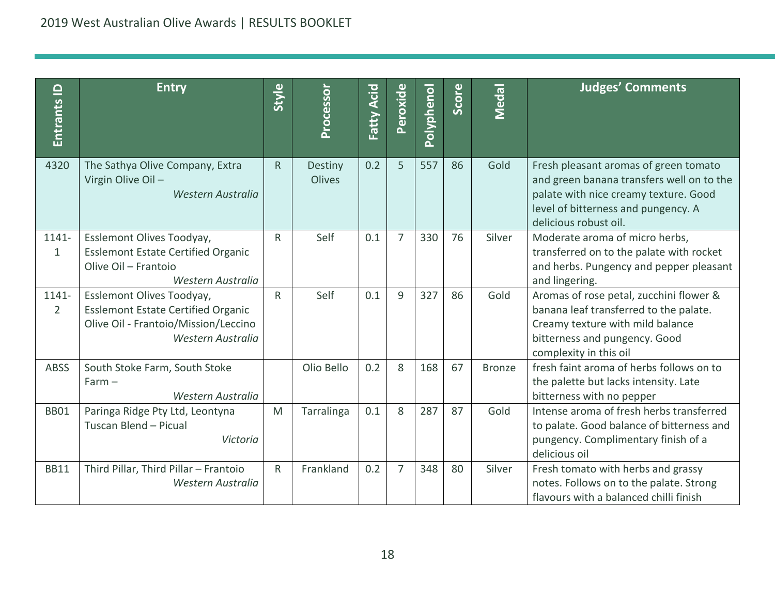| Entrants ID             | <b>Entry</b>                                                                                                                        | Style        | Processor         | Acid<br>Fatty | Peroxide       | <b>Polyphenol</b> | Score | Medal         | <b>Judges' Comments</b>                                                                                                                                                                     |
|-------------------------|-------------------------------------------------------------------------------------------------------------------------------------|--------------|-------------------|---------------|----------------|-------------------|-------|---------------|---------------------------------------------------------------------------------------------------------------------------------------------------------------------------------------------|
| 4320                    | The Sathya Olive Company, Extra<br>Virgin Olive Oil -<br>Western Australia                                                          | $\mathsf{R}$ | Destiny<br>Olives | 0.2           | 5              | 557               | 86    | Gold          | Fresh pleasant aromas of green tomato<br>and green banana transfers well on to the<br>palate with nice creamy texture. Good<br>level of bitterness and pungency. A<br>delicious robust oil. |
| 1141-<br>$\mathbf{1}$   | Esslemont Olives Toodyay,<br><b>Esslemont Estate Certified Organic</b><br>Olive Oil - Frantoio<br>Western Australia                 | $\mathsf{R}$ | Self              | 0.1           | $\overline{7}$ | 330               | 76    | Silver        | Moderate aroma of micro herbs,<br>transferred on to the palate with rocket<br>and herbs. Pungency and pepper pleasant<br>and lingering.                                                     |
| 1141-<br>$\overline{2}$ | Esslemont Olives Toodyay,<br><b>Esslemont Estate Certified Organic</b><br>Olive Oil - Frantoio/Mission/Leccino<br>Western Australia | $\mathsf{R}$ | Self              | 0.1           | $\mathbf{q}$   | 327               | 86    | Gold          | Aromas of rose petal, zucchini flower &<br>banana leaf transferred to the palate.<br>Creamy texture with mild balance<br>bitterness and pungency. Good<br>complexity in this oil            |
| <b>ABSS</b>             | South Stoke Farm, South Stoke<br>$Farm -$<br>Western Australia                                                                      |              | Olio Bello        | 0.2           | 8              | 168               | 67    | <b>Bronze</b> | fresh faint aroma of herbs follows on to<br>the palette but lacks intensity. Late<br>bitterness with no pepper                                                                              |
| <b>BB01</b>             | Paringa Ridge Pty Ltd, Leontyna<br>Tuscan Blend - Picual<br>Victoria                                                                | M            | Tarralinga        | 0.1           | 8              | 287               | 87    | Gold          | Intense aroma of fresh herbs transferred<br>to palate. Good balance of bitterness and<br>pungency. Complimentary finish of a<br>delicious oil                                               |
| <b>BB11</b>             | Third Pillar, Third Pillar - Frantoio<br>Western Australia                                                                          | $\mathsf{R}$ | Frankland         | 0.2           | $\overline{7}$ | 348               | 80    | Silver        | Fresh tomato with herbs and grassy<br>notes. Follows on to the palate. Strong<br>flavours with a balanced chilli finish                                                                     |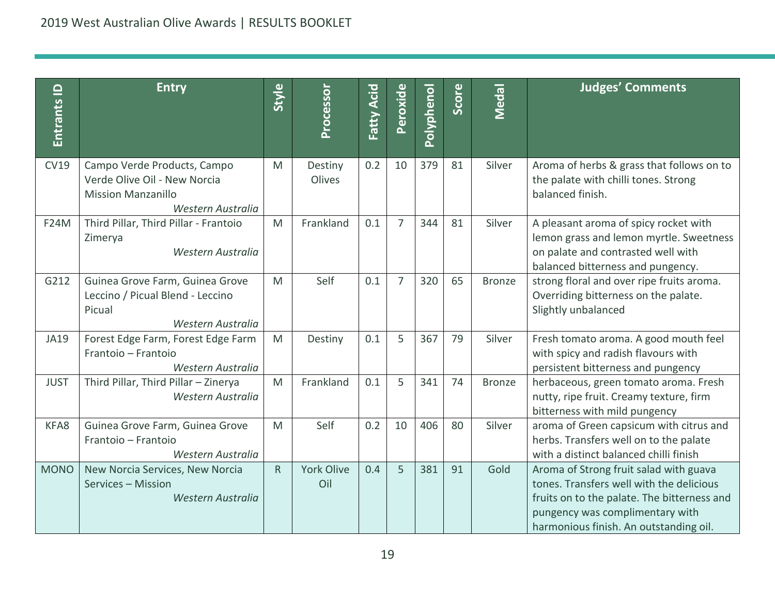| Entrants ID | <b>Entry</b>                                                                                                  | Style | Processor                | Fatty Acid | Peroxide       | Polyphenol | Score | Medal         | <b>Judges' Comments</b>                                                                                                                                                                                        |
|-------------|---------------------------------------------------------------------------------------------------------------|-------|--------------------------|------------|----------------|------------|-------|---------------|----------------------------------------------------------------------------------------------------------------------------------------------------------------------------------------------------------------|
| <b>CV19</b> | Campo Verde Products, Campo<br>Verde Olive Oil - New Norcia<br><b>Mission Manzanillo</b><br>Western Australia | M     | Destiny<br>Olives        | 0.2        | 10             | 379        | 81    | Silver        | Aroma of herbs & grass that follows on to<br>the palate with chilli tones. Strong<br>balanced finish.                                                                                                          |
| <b>F24M</b> | Third Pillar, Third Pillar - Frantoio<br>Zimerya<br>Western Australia                                         | M     | Frankland                | 0.1        | 7              | 344        | 81    | Silver        | A pleasant aroma of spicy rocket with<br>lemon grass and lemon myrtle. Sweetness<br>on palate and contrasted well with<br>balanced bitterness and pungency.                                                    |
| G212        | Guinea Grove Farm, Guinea Grove<br>Leccino / Picual Blend - Leccino<br>Picual<br>Western Australia            | M     | Self                     | 0.1        | $\overline{7}$ | 320        | 65    | <b>Bronze</b> | strong floral and over ripe fruits aroma.<br>Overriding bitterness on the palate.<br>Slightly unbalanced                                                                                                       |
| <b>JA19</b> | Forest Edge Farm, Forest Edge Farm<br>Frantoio - Frantoio<br>Western Australia                                | M     | Destiny                  | 0.1        | 5              | 367        | 79    | Silver        | Fresh tomato aroma. A good mouth feel<br>with spicy and radish flavours with<br>persistent bitterness and pungency                                                                                             |
| <b>JUST</b> | Third Pillar, Third Pillar - Zinerya<br>Western Australia                                                     | M     | Frankland                | 0.1        | 5              | 341        | 74    | <b>Bronze</b> | herbaceous, green tomato aroma. Fresh<br>nutty, ripe fruit. Creamy texture, firm<br>bitterness with mild pungency                                                                                              |
| KFA8        | Guinea Grove Farm, Guinea Grove<br>Frantoio - Frantoio<br>Western Australia                                   | M     | Self                     | 0.2        | 10             | 406        | 80    | Silver        | aroma of Green capsicum with citrus and<br>herbs. Transfers well on to the palate<br>with a distinct balanced chilli finish                                                                                    |
| <b>MONO</b> | New Norcia Services, New Norcia<br>Services - Mission<br>Western Australia                                    | R.    | <b>York Olive</b><br>Oil | 0.4        | 5              | 381        | 91    | Gold          | Aroma of Strong fruit salad with guava<br>tones. Transfers well with the delicious<br>fruits on to the palate. The bitterness and<br>pungency was complimentary with<br>harmonious finish. An outstanding oil. |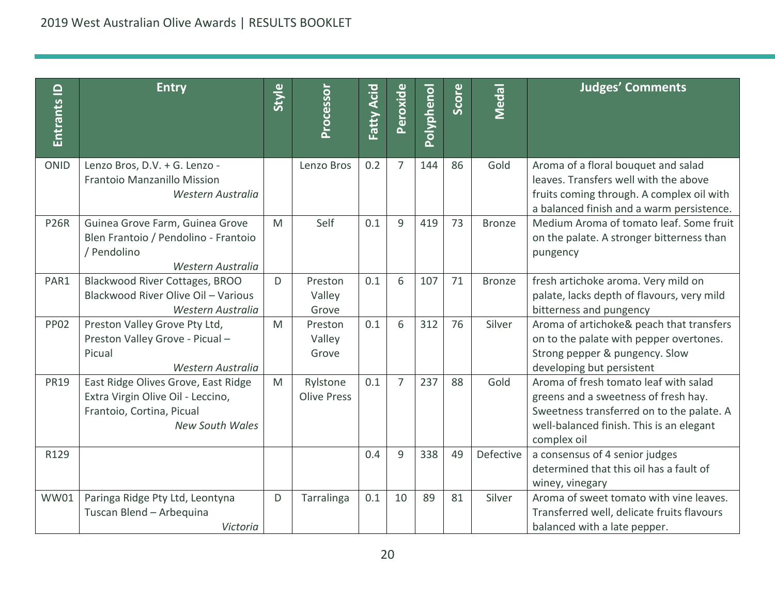| $\mathbf{\underline{o}}$<br><b>Entrants</b> | <b>Entry</b>                                                                                                                    | Style | Processor                      | Fatty Acid | Peroxide       | <b>Polyphenol</b> | Score | Medal         | <b>Judges' Comments</b>                                                                                                                                                               |
|---------------------------------------------|---------------------------------------------------------------------------------------------------------------------------------|-------|--------------------------------|------------|----------------|-------------------|-------|---------------|---------------------------------------------------------------------------------------------------------------------------------------------------------------------------------------|
| <b>ONID</b>                                 | Lenzo Bros, D.V. + G. Lenzo -<br>Frantoio Manzanillo Mission<br>Western Australia                                               |       | Lenzo Bros                     | 0.2        | $\overline{7}$ | 144               | 86    | Gold          | Aroma of a floral bouquet and salad<br>leaves. Transfers well with the above<br>fruits coming through. A complex oil with<br>a balanced finish and a warm persistence.                |
| <b>P26R</b>                                 | Guinea Grove Farm, Guinea Grove<br>Blen Frantoio / Pendolino - Frantoio<br>/ Pendolino<br>Western Australia                     | M     | Self                           | 0.1        | 9              | 419               | 73    | <b>Bronze</b> | Medium Aroma of tomato leaf. Some fruit<br>on the palate. A stronger bitterness than<br>pungency                                                                                      |
| PAR1                                        | Blackwood River Cottages, BROO<br>Blackwood River Olive Oil - Various<br>Western Australia                                      | D     | Preston<br>Valley<br>Grove     | 0.1        | 6              | 107               | 71    | <b>Bronze</b> | fresh artichoke aroma. Very mild on<br>palate, lacks depth of flavours, very mild<br>bitterness and pungency                                                                          |
| <b>PP02</b>                                 | Preston Valley Grove Pty Ltd,<br>Preston Valley Grove - Picual -<br>Picual<br>Western Australia                                 | M     | Preston<br>Valley<br>Grove     | 0.1        | 6              | 312               | 76    | Silver        | Aroma of artichoke& peach that transfers<br>on to the palate with pepper overtones.<br>Strong pepper & pungency. Slow<br>developing but persistent                                    |
| <b>PR19</b>                                 | East Ridge Olives Grove, East Ridge<br>Extra Virgin Olive Oil - Leccino,<br>Frantoio, Cortina, Picual<br><b>New South Wales</b> | M     | Rylstone<br><b>Olive Press</b> | 0.1        | $\overline{7}$ | 237               | 88    | Gold          | Aroma of fresh tomato leaf with salad<br>greens and a sweetness of fresh hay.<br>Sweetness transferred on to the palate. A<br>well-balanced finish. This is an elegant<br>complex oil |
| R129                                        |                                                                                                                                 |       |                                | 0.4        | 9              | 338               | 49    | Defective     | a consensus of 4 senior judges<br>determined that this oil has a fault of<br>winey, vinegary                                                                                          |
| <b>WW01</b>                                 | Paringa Ridge Pty Ltd, Leontyna<br>Tuscan Blend - Arbequina<br>Victoria                                                         | D     | Tarralinga                     | 0.1        | 10             | 89                | 81    | Silver        | Aroma of sweet tomato with vine leaves.<br>Transferred well, delicate fruits flavours<br>balanced with a late pepper.                                                                 |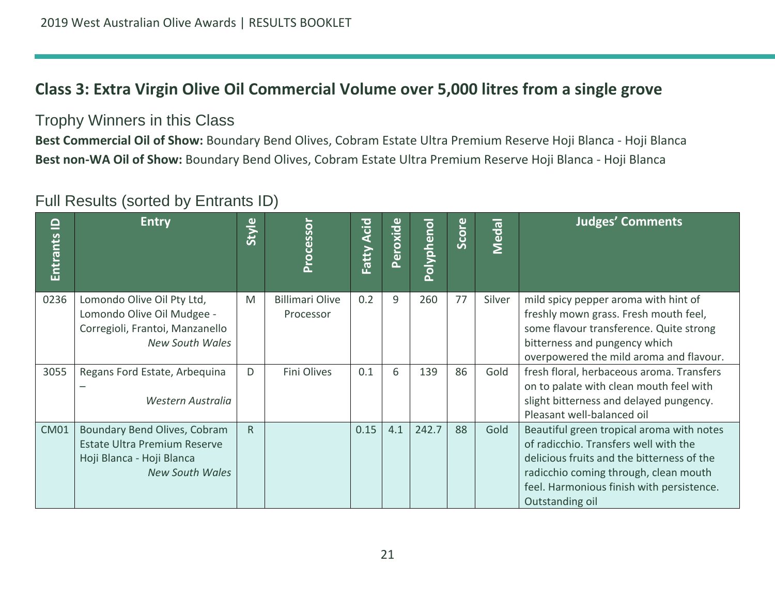## **Class 3: Extra Virgin Olive Oil Commercial Volume over 5,000 litres from a single grove**

### Trophy Winners in this Class

**Best Commercial Oil of Show:** Boundary Bend Olives, Cobram Estate Ultra Premium Reserve Hoji Blanca - Hoji Blanca **Best non-WA Oil of Show:** Boundary Bend Olives, Cobram Estate Ultra Premium Reserve Hoji Blanca - Hoji Blanca

<span id="page-20-0"></span>

| $\mathbf{\underline{o}}$<br>Entrants | <b>Entry</b>                                                                                                               | Style        | Processo                            | <b>Acid</b><br>Fatty | Peroxide | Polyphenol | Score | Medal  | <b>Judges' Comments</b>                                                                                                                                                                                                                   |
|--------------------------------------|----------------------------------------------------------------------------------------------------------------------------|--------------|-------------------------------------|----------------------|----------|------------|-------|--------|-------------------------------------------------------------------------------------------------------------------------------------------------------------------------------------------------------------------------------------------|
| 0236                                 | Lomondo Olive Oil Pty Ltd,<br>Lomondo Olive Oil Mudgee -<br>Corregioli, Frantoi, Manzanello<br><b>New South Wales</b>      | M            | <b>Billimari Olive</b><br>Processor | 0.2                  | 9        | 260        | 77    | Silver | mild spicy pepper aroma with hint of<br>freshly mown grass. Fresh mouth feel,<br>some flavour transference. Quite strong<br>bitterness and pungency which<br>overpowered the mild aroma and flavour.                                      |
| 3055                                 | Regans Ford Estate, Arbequina<br>Western Australia                                                                         | D            | Fini Olives                         | 0.1                  | 6        | 139        | 86    | Gold   | fresh floral, herbaceous aroma. Transfers<br>on to palate with clean mouth feel with<br>slight bitterness and delayed pungency.<br>Pleasant well-balanced oil                                                                             |
| <b>CM01</b>                          | Boundary Bend Olives, Cobram<br><b>Estate Ultra Premium Reserve</b><br>Hoji Blanca - Hoji Blanca<br><b>New South Wales</b> | $\mathsf{R}$ |                                     | 0.15                 | 4.1      | 242.7      | 88    | Gold   | Beautiful green tropical aroma with notes<br>of radicchio. Transfers well with the<br>delicious fruits and the bitterness of the<br>radicchio coming through, clean mouth<br>feel. Harmonious finish with persistence.<br>Outstanding oil |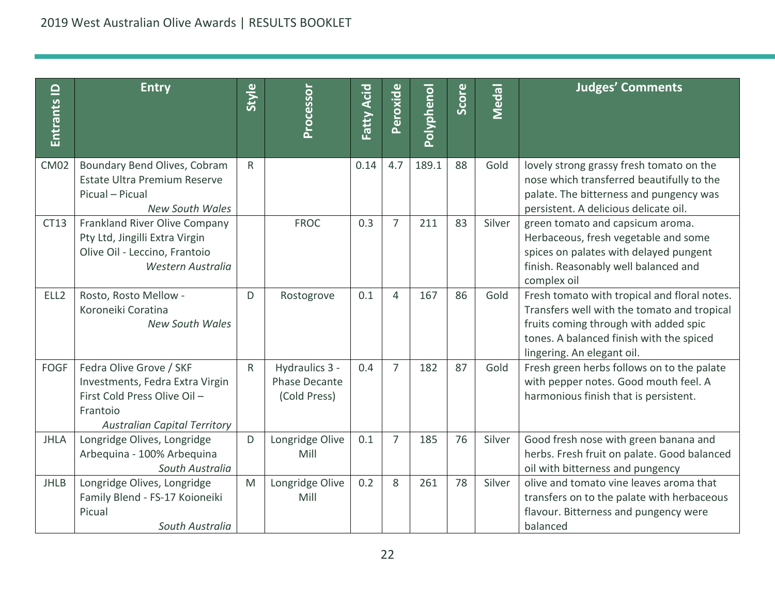| Entrants ID      | <b>Entry</b>                                                                                                                                 | Style        | Processor                                              | Fatty Acid | Peroxide       | Polyphenol | Score | Medal  | <b>Judges' Comments</b>                                                                                                                                                                                        |
|------------------|----------------------------------------------------------------------------------------------------------------------------------------------|--------------|--------------------------------------------------------|------------|----------------|------------|-------|--------|----------------------------------------------------------------------------------------------------------------------------------------------------------------------------------------------------------------|
| <b>CM02</b>      | Boundary Bend Olives, Cobram<br>Estate Ultra Premium Reserve<br>Picual - Picual<br><b>New South Wales</b>                                    | $\mathsf{R}$ |                                                        | 0.14       | 4.7            | 189.1      | 88    | Gold   | lovely strong grassy fresh tomato on the<br>nose which transferred beautifully to the<br>palate. The bitterness and pungency was<br>persistent. A delicious delicate oil.                                      |
| CT13             | Frankland River Olive Company<br>Pty Ltd, Jingilli Extra Virgin<br>Olive Oil - Leccino, Frantoio<br>Western Australia                        |              | <b>FROC</b>                                            | 0.3        | $\overline{7}$ | 211        | 83    | Silver | green tomato and capsicum aroma.<br>Herbaceous, fresh vegetable and some<br>spices on palates with delayed pungent<br>finish. Reasonably well balanced and<br>complex oil                                      |
| ELL <sub>2</sub> | Rosto, Rosto Mellow -<br>Koroneiki Coratina<br><b>New South Wales</b>                                                                        | D            | Rostogrove                                             | 0.1        | $\overline{4}$ | 167        | 86    | Gold   | Fresh tomato with tropical and floral notes.<br>Transfers well with the tomato and tropical<br>fruits coming through with added spic<br>tones. A balanced finish with the spiced<br>lingering. An elegant oil. |
| <b>FOGF</b>      | Fedra Olive Grove / SKF<br>Investments, Fedra Extra Virgin<br>First Cold Press Olive Oil-<br>Frantoio<br><b>Australian Capital Territory</b> | $\mathsf{R}$ | Hydraulics 3 -<br><b>Phase Decante</b><br>(Cold Press) | 0.4        | $\overline{7}$ | 182        | 87    | Gold   | Fresh green herbs follows on to the palate<br>with pepper notes. Good mouth feel. A<br>harmonious finish that is persistent.                                                                                   |
| <b>JHLA</b>      | Longridge Olives, Longridge<br>Arbequina - 100% Arbequina<br>South Australia                                                                 | D            | Longridge Olive<br>Mill                                | 0.1        | $\overline{7}$ | 185        | 76    | Silver | Good fresh nose with green banana and<br>herbs. Fresh fruit on palate. Good balanced<br>oil with bitterness and pungency                                                                                       |
| <b>JHLB</b>      | Longridge Olives, Longridge<br>Family Blend - FS-17 Koioneiki<br>Picual<br>South Australia                                                   | M            | Longridge Olive<br>Mill                                | 0.2        | 8              | 261        | 78    | Silver | olive and tomato vine leaves aroma that<br>transfers on to the palate with herbaceous<br>flavour. Bitterness and pungency were<br>balanced                                                                     |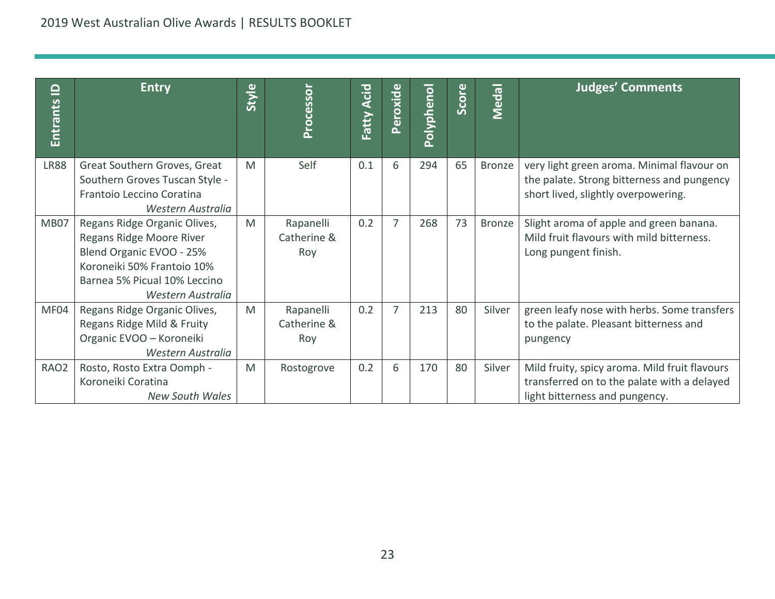| <u>으</u><br>Entrants | <b>Entry</b>                                                                                                                                                            | Style | Processor                       | Acid<br>Fatty | Peroxide       | Polyphenol | <b>Score</b> | Medal         | <b>Judges' Comments</b>                                                                                                         |
|----------------------|-------------------------------------------------------------------------------------------------------------------------------------------------------------------------|-------|---------------------------------|---------------|----------------|------------|--------------|---------------|---------------------------------------------------------------------------------------------------------------------------------|
| <b>LR88</b>          | Great Southern Groves, Great<br>Southern Groves Tuscan Style -<br>Frantoio Leccino Coratina<br>Western Australia                                                        | M     | Self                            | 0.1           | 6              | 294        | 65           | <b>Bronze</b> | very light green aroma. Minimal flavour on<br>the palate. Strong bitterness and pungency<br>short lived, slightly overpowering. |
| MB07                 | Regans Ridge Organic Olives,<br>Regans Ridge Moore River<br>Blend Organic EVOO - 25%<br>Koroneiki 50% Frantoio 10%<br>Barnea 5% Picual 10% Leccino<br>Western Australia | M     | Rapanelli<br>Catherine &<br>Roy | 0.2           | $\overline{7}$ | 268        | 73           | Bronze        | Slight aroma of apple and green banana.<br>Mild fruit flavours with mild bitterness.<br>Long pungent finish.                    |
| MF04                 | Regans Ridge Organic Olives,<br>Regans Ridge Mild & Fruity<br>Organic EVOO - Koroneiki<br>Western Australia                                                             | M     | Rapanelli<br>Catherine &<br>Roy | 0.2           | $\overline{7}$ | 213        | 80           | Silver        | green leafy nose with herbs. Some transfers<br>to the palate. Pleasant bitterness and<br>pungency                               |
| RAO <sub>2</sub>     | Rosto, Rosto Extra Oomph -<br>Koroneiki Coratina<br><b>New South Wales</b>                                                                                              | M     | Rostogrove                      | 0.2           | 6              | 170        | 80           | Silver        | Mild fruity, spicy aroma. Mild fruit flavours<br>transferred on to the palate with a delayed<br>light bitterness and pungency.  |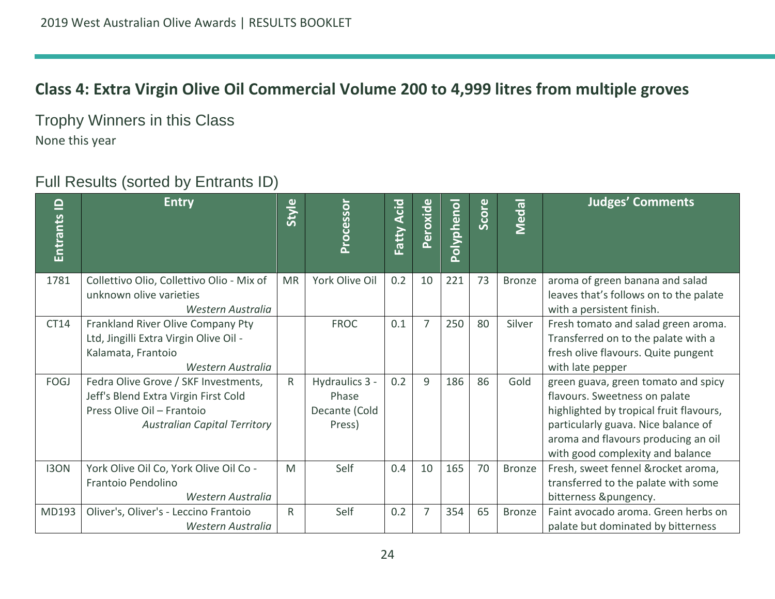## **Class 4: Extra Virgin Olive Oil Commercial Volume 200 to 4,999 litres from multiple groves**

Trophy Winners in this Class None this year

<span id="page-23-0"></span>

| $\overline{\mathsf{d}}$<br><b>Entrants</b> | <b>Entry</b>                                                                                                                                      | Style        | Processor                                          | Acid<br>Fatty | Peroxide       | Polyphenol | Score | Medal         | <b>Judges' Comments</b>                                                                                                                                                                                                           |
|--------------------------------------------|---------------------------------------------------------------------------------------------------------------------------------------------------|--------------|----------------------------------------------------|---------------|----------------|------------|-------|---------------|-----------------------------------------------------------------------------------------------------------------------------------------------------------------------------------------------------------------------------------|
| 1781                                       | Collettivo Olio, Collettivo Olio - Mix of<br>unknown olive varieties<br>Western Australia                                                         | <b>MR</b>    | York Olive Oil                                     | 0.2           | 10             | 221        | 73    | <b>Bronze</b> | aroma of green banana and salad<br>leaves that's follows on to the palate<br>with a persistent finish.                                                                                                                            |
| CT14                                       | Frankland River Olive Company Pty<br>Ltd, Jingilli Extra Virgin Olive Oil -<br>Kalamata, Frantoio<br>Western Australia                            |              | <b>FROC</b>                                        | 0.1           | 7              | 250        | 80    | Silver        | Fresh tomato and salad green aroma.<br>Transferred on to the palate with a<br>fresh olive flavours. Quite pungent<br>with late pepper                                                                                             |
| FOGJ                                       | Fedra Olive Grove / SKF Investments,<br>Jeff's Blend Extra Virgin First Cold<br>Press Olive Oil - Frantoio<br><b>Australian Capital Territory</b> | R            | Hydraulics 3 -<br>Phase<br>Decante (Cold<br>Press) | 0.2           | 9              | 186        | 86    | Gold          | green guava, green tomato and spicy<br>flavours. Sweetness on palate<br>highlighted by tropical fruit flavours,<br>particularly guava. Nice balance of<br>aroma and flavours producing an oil<br>with good complexity and balance |
| <b>I3ON</b>                                | York Olive Oil Co, York Olive Oil Co -<br>Frantoio Pendolino<br>Western Australia                                                                 | M            | Self                                               | 0.4           | 10             | 165        | 70    | <b>Bronze</b> | Fresh, sweet fennel &rocket aroma,<br>transferred to the palate with some<br>bitterness &pungency.                                                                                                                                |
| MD193                                      | Oliver's, Oliver's - Leccino Frantoio<br>Western Australia                                                                                        | $\mathsf{R}$ | Self                                               | 0.2           | $\overline{7}$ | 354        | 65    | Bronze        | Faint avocado aroma. Green herbs on<br>palate but dominated by bitterness                                                                                                                                                         |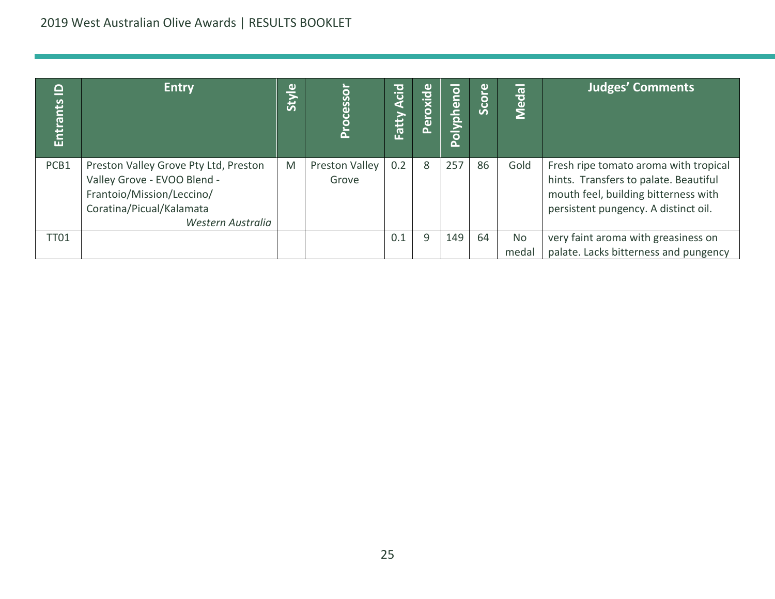| $\mathbf{\underline{o}}$<br>Entrants | <b>Entry</b>                                                                                                                                       | $\omega$<br><b>Styl</b> | <b>Cesso</b><br>Ō<br>՟  | $ \vec{S} $<br>я<br>Fatty | Peroxide | Polyphenol | Score | Medal       | <b>Judges' Comments</b>                                                                                                                                        |
|--------------------------------------|----------------------------------------------------------------------------------------------------------------------------------------------------|-------------------------|-------------------------|---------------------------|----------|------------|-------|-------------|----------------------------------------------------------------------------------------------------------------------------------------------------------------|
| PCB1                                 | Preston Valley Grove Pty Ltd, Preston<br>Valley Grove - EVOO Blend -<br>Frantoio/Mission/Leccino/<br>Coratina/Picual/Kalamata<br>Western Australia | M                       | Preston Valley<br>Grove | 0.2                       | 8        | 257        | 86    | Gold        | Fresh ripe tomato aroma with tropical<br>hints. Transfers to palate. Beautiful<br>mouth feel, building bitterness with<br>persistent pungency. A distinct oil. |
| <b>TT01</b>                          |                                                                                                                                                    |                         |                         | 0.1                       | 9        | 149        | 64    | No<br>medal | very faint aroma with greasiness on<br>palate. Lacks bitterness and pungency                                                                                   |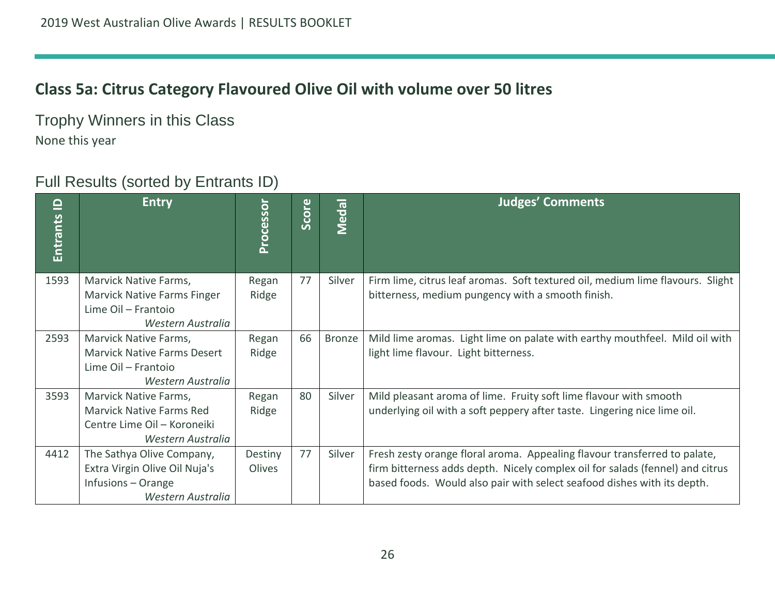## **Class 5a: Citrus Category Flavoured Olive Oil with volume over 50 litres**

Trophy Winners in this Class None this year

<span id="page-25-0"></span>

| $\mathbf{\underline{o}}$<br>Entrants | <b>Entry</b>                                                                                                 | Processor         | $\omega$<br>Score | Medal  | <b>Judges' Comments</b>                                                                                                                                                                                                               |
|--------------------------------------|--------------------------------------------------------------------------------------------------------------|-------------------|-------------------|--------|---------------------------------------------------------------------------------------------------------------------------------------------------------------------------------------------------------------------------------------|
| 1593                                 | Marvick Native Farms,<br>Marvick Native Farms Finger<br>Lime Oil - Frantoio<br>Western Australia             | Regan<br>Ridge    | 77                | Silver | Firm lime, citrus leaf aromas. Soft textured oil, medium lime flavours. Slight<br>bitterness, medium pungency with a smooth finish.                                                                                                   |
| 2593                                 | Marvick Native Farms,<br><b>Marvick Native Farms Desert</b><br>Lime Oil - Frantoio<br>Western Australia      | Regan<br>Ridge    | 66                | Bronze | Mild lime aromas. Light lime on palate with earthy mouthfeel. Mild oil with<br>light lime flavour. Light bitterness.                                                                                                                  |
| 3593                                 | Marvick Native Farms,<br><b>Marvick Native Farms Red</b><br>Centre Lime Oil - Koroneiki<br>Western Australia | Regan<br>Ridge    | 80                | Silver | Mild pleasant aroma of lime. Fruity soft lime flavour with smooth<br>underlying oil with a soft peppery after taste. Lingering nice lime oil.                                                                                         |
| 4412                                 | The Sathya Olive Company,<br>Extra Virgin Olive Oil Nuja's<br>Infusions - Orange<br>Western Australia        | Destiny<br>Olives | 77                | Silver | Fresh zesty orange floral aroma. Appealing flavour transferred to palate,<br>firm bitterness adds depth. Nicely complex oil for salads (fennel) and citrus<br>based foods. Would also pair with select seafood dishes with its depth. |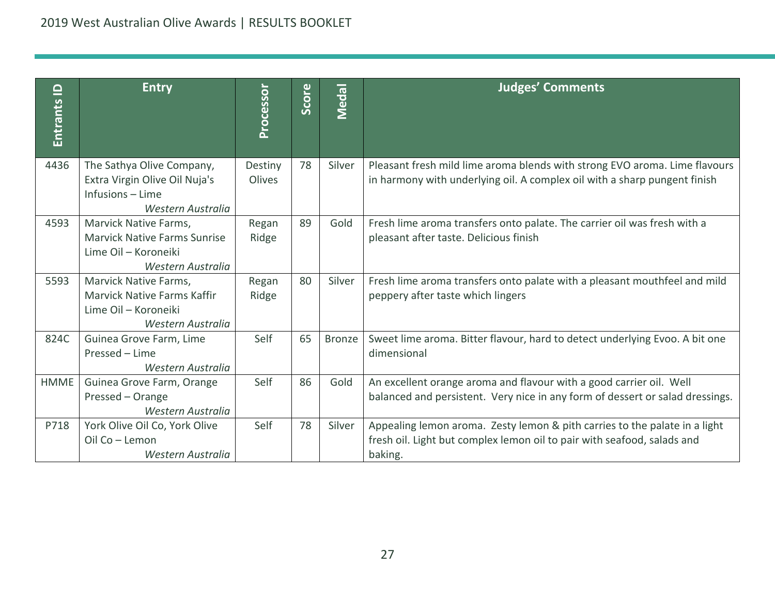| Entrants ID | <b>Entry</b>                                                                                              | Processor         | Score | Medal         | <b>Judges' Comments</b>                                                                                                                                          |
|-------------|-----------------------------------------------------------------------------------------------------------|-------------------|-------|---------------|------------------------------------------------------------------------------------------------------------------------------------------------------------------|
| 4436        | The Sathya Olive Company,<br>Extra Virgin Olive Oil Nuja's<br>Infusions - Lime<br>Western Australia       | Destiny<br>Olives | 78    | Silver        | Pleasant fresh mild lime aroma blends with strong EVO aroma. Lime flavours<br>in harmony with underlying oil. A complex oil with a sharp pungent finish          |
| 4593        | Marvick Native Farms,<br><b>Marvick Native Farms Sunrise</b><br>Lime Oil - Koroneiki<br>Western Australia | Regan<br>Ridge    | 89    | Gold          | Fresh lime aroma transfers onto palate. The carrier oil was fresh with a<br>pleasant after taste. Delicious finish                                               |
| 5593        | Marvick Native Farms,<br><b>Marvick Native Farms Kaffir</b><br>Lime Oil - Koroneiki<br>Western Australia  | Regan<br>Ridge    | 80    | Silver        | Fresh lime aroma transfers onto palate with a pleasant mouthfeel and mild<br>peppery after taste which lingers                                                   |
| 824C        | Guinea Grove Farm, Lime<br>Pressed - Lime<br>Western Australia                                            | Self              | 65    | <b>Bronze</b> | Sweet lime aroma. Bitter flavour, hard to detect underlying Evoo. A bit one<br>dimensional                                                                       |
| <b>HMME</b> | Guinea Grove Farm, Orange<br>Pressed - Orange<br>Western Australia                                        | Self              | 86    | Gold          | An excellent orange aroma and flavour with a good carrier oil. Well<br>balanced and persistent. Very nice in any form of dessert or salad dressings.             |
| P718        | York Olive Oil Co, York Olive<br>Oil Co - Lemon<br>Western Australia                                      | Self              | 78    | Silver        | Appealing lemon aroma. Zesty lemon & pith carries to the palate in a light<br>fresh oil. Light but complex lemon oil to pair with seafood, salads and<br>baking. |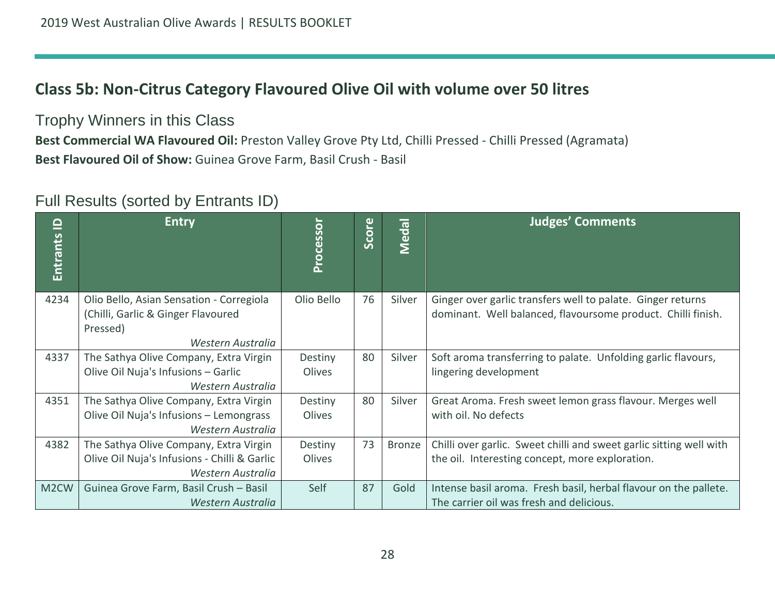## **Class 5b: Non-Citrus Category Flavoured Olive Oil with volume over 50 litres**

Trophy Winners in this Class

**Best Commercial WA Flavoured Oil:** Preston Valley Grove Pty Ltd, Chilli Pressed - Chilli Pressed (Agramata) **Best Flavoured Oil of Show:** Guinea Grove Farm, Basil Crush - Basil

<span id="page-27-0"></span>

| ≘<br>Entrants     | <b>Entry</b>                                                                                                    | Processor         | Score | Medal  | <b>Judges' Comments</b>                                                                                                     |
|-------------------|-----------------------------------------------------------------------------------------------------------------|-------------------|-------|--------|-----------------------------------------------------------------------------------------------------------------------------|
| 4234              | Olio Bello, Asian Sensation - Corregiola<br>(Chilli, Garlic & Ginger Flavoured<br>Pressed)<br>Western Australia | Olio Bello        | 76    | Silver | Ginger over garlic transfers well to palate. Ginger returns<br>dominant. Well balanced, flavoursome product. Chilli finish. |
| 4337              | The Sathya Olive Company, Extra Virgin<br>Olive Oil Nuja's Infusions - Garlic<br>Western Australia              | Destiny<br>Olives | 80    | Silver | Soft aroma transferring to palate. Unfolding garlic flavours,<br>lingering development                                      |
| 4351              | The Sathya Olive Company, Extra Virgin<br>Olive Oil Nuja's Infusions - Lemongrass<br>Western Australia          | Destiny<br>Olives | 80    | Silver | Great Aroma. Fresh sweet lemon grass flavour. Merges well<br>with oil. No defects                                           |
| 4382              | The Sathya Olive Company, Extra Virgin<br>Olive Oil Nuja's Infusions - Chilli & Garlic<br>Western Australia     | Destiny<br>Olives | 73    | Bronze | Chilli over garlic. Sweet chilli and sweet garlic sitting well with<br>the oil. Interesting concept, more exploration.      |
| M <sub>2</sub> CW | Guinea Grove Farm, Basil Crush - Basil<br>Western Australia                                                     | Self              | 87    | Gold   | Intense basil aroma. Fresh basil, herbal flavour on the pallete.<br>The carrier oil was fresh and delicious.                |